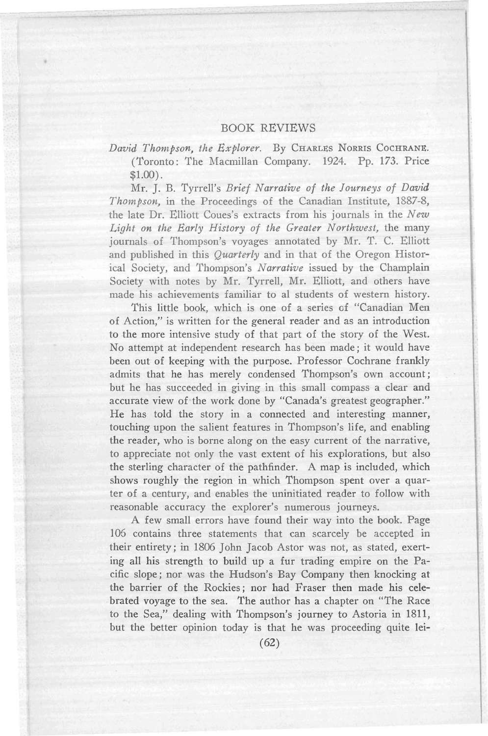## BOOK REVIEWS

David Thompson, the Explorer. By CHARLES NORRIS COCHRANE. (Toronto: The Macmillan Company. 1924. Pp. 173. Price \$1.00) .

Mr. J. B. Tyrrell's *Brief Narrative of the Journeys of David Thompson,* in the Proceedings of the Canadian Institute, 1887-8, the late Dr. Elliott Coues's extracts from his journals in the *New Light on the Early History of the Greater Northwest,* the many journals of Thompson's voyages annotated by Mr. T. C. Elliott and published in this *Quarterly* and in that of the Oregon Historical Society, and Thompson's *Narrative* issued by the Champlain Society with notes by Mr. Tyrrell, Mr. Elliott, and others have made his achievements familiar to al students of western history.

This little book, which is one of a series of "Canadian Men of Action," is written for the general reader and as an introduction to the more intensive study of that part of the story of the West. No attempt at independent research has been made; it would have been out of keeping with the purpose. Professor Cochrane frankly admits that he has merely condensed Thompson's own account; but he has succeeded in giving in this small compass a clear and accurate view of the work done by "Canada's greatest geographer." He has told the story in a connected and interesting manner, touching upon the salient features in Thompson's life, and enabling the reader, who is borne along on the easy current of the narrative, to appreciate not only the vast extent of his explorations, but also the sterling character of the pathfinder. A map is included, which shows roughly the region in which Thompson spent over a quarter of a century, and enables the uninitiated reader to follow with reasonable accuracy the explorer's numerous journeys.

A few small errors have found their way into the book. Page 106 contains three statements that can scarcely be accepted in their entirety; in 1806 John Jacob Astor was not, as stated, exerting all his strength to build up a fur trading empire on the Pacific slope; nor was the Hudson's Bay Company then knocking at the barrier of the Rockies; nor had Fraser then made his celebrated voyage to the sea. The author has a chapter on "The Race to the Sea," dealing with Thompson's journey to Astoria in 1811, but the better opinion today is that he was proceeding quite lei